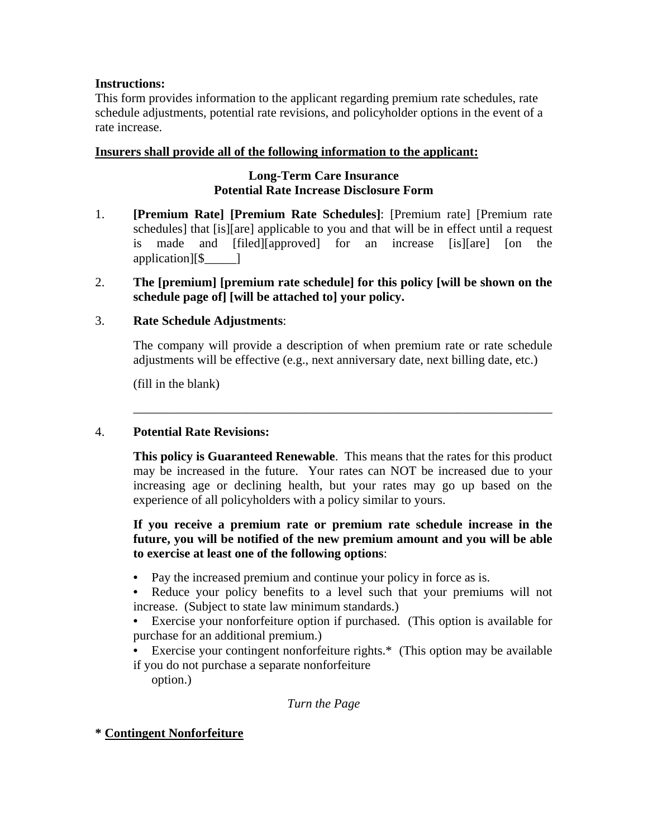# **Instructions:**

This form provides information to the applicant regarding premium rate schedules, rate schedule adjustments, potential rate revisions, and policyholder options in the event of a rate increase.

## **Insurers shall provide all of the following information to the applicant:**

# **Long-Term Care Insurance Potential Rate Increase Disclosure Form**

1. **[Premium Rate] [Premium Rate Schedules]**: [Premium rate] [Premium rate schedules] that [is][are] applicable to you and that will be in effect until a request is made and [filed][approved] for an increase [is][are] [on the application][\$\_\_\_\_\_]

# 2. **The [premium] [premium rate schedule] for this policy [will be shown on the schedule page of] [will be attached to] your policy.**

\_\_\_\_\_\_\_\_\_\_\_\_\_\_\_\_\_\_\_\_\_\_\_\_\_\_\_\_\_\_\_\_\_\_\_\_\_\_\_\_\_\_\_\_\_\_\_\_\_\_\_\_\_\_\_\_\_\_\_\_\_\_\_\_\_\_

# 3. **Rate Schedule Adjustments**:

 The company will provide a description of when premium rate or rate schedule adjustments will be effective (e.g., next anniversary date, next billing date, etc.)

(fill in the blank)

#### 4. **Potential Rate Revisions:**

**This policy is Guaranteed Renewable**. This means that the rates for this product may be increased in the future. Your rates can NOT be increased due to your increasing age or declining health, but your rates may go up based on the experience of all policyholders with a policy similar to yours.

## **If you receive a premium rate or premium rate schedule increase in the future, you will be notified of the new premium amount and you will be able to exercise at least one of the following options**:

• Pay the increased premium and continue your policy in force as is.

**•** Reduce your policy benefits to a level such that your premiums will not increase. (Subject to state law minimum standards.)

- Exercise your nonforfeiture option if purchased. (This option is available for purchase for an additional premium.)
- Exercise your contingent nonforfeiture rights.\* (This option may be available if you do not purchase a separate nonforfeiture

option.)

#### *Turn the Page*

#### **\* Contingent Nonforfeiture**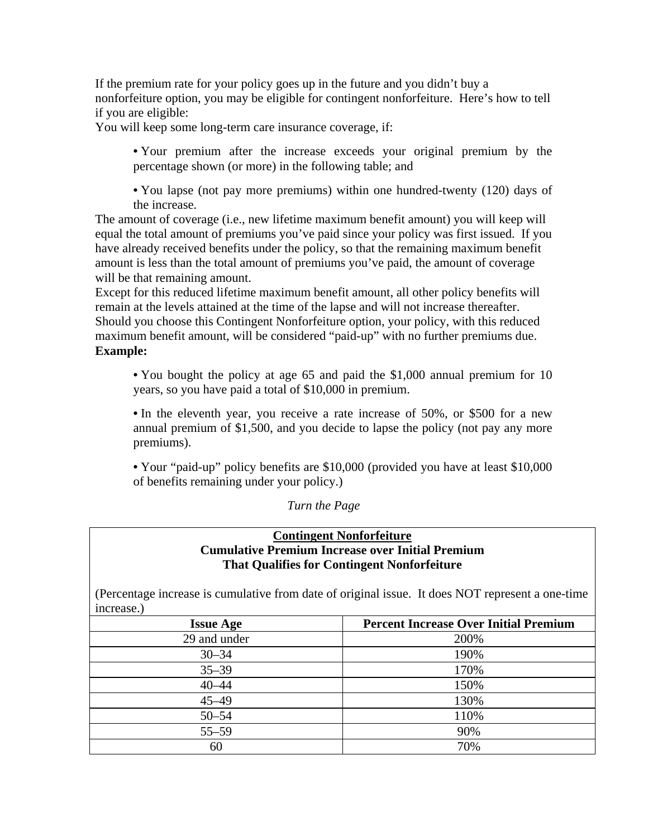If the premium rate for your policy goes up in the future and you didn't buy a nonforfeiture option, you may be eligible for contingent nonforfeiture. Here's how to tell if you are eligible:

You will keep some long-term care insurance coverage, if:

**•** Your premium after the increase exceeds your original premium by the percentage shown (or more) in the following table; and

**•** You lapse (not pay more premiums) within one hundred-twenty (120) days of the increase.

The amount of coverage (i.e., new lifetime maximum benefit amount) you will keep will equal the total amount of premiums you've paid since your policy was first issued. If you have already received benefits under the policy, so that the remaining maximum benefit amount is less than the total amount of premiums you've paid, the amount of coverage will be that remaining amount.

Except for this reduced lifetime maximum benefit amount, all other policy benefits will remain at the levels attained at the time of the lapse and will not increase thereafter. Should you choose this Contingent Nonforfeiture option, your policy, with this reduced maximum benefit amount, will be considered "paid-up" with no further premiums due. **Example:**

**•** You bought the policy at age 65 and paid the \$1,000 annual premium for 10 years, so you have paid a total of \$10,000 in premium.

**•** In the eleventh year, you receive a rate increase of 50%, or \$500 for a new annual premium of \$1,500, and you decide to lapse the policy (not pay any more premiums).

**•** Your "paid-up" policy benefits are \$10,000 (provided you have at least \$10,000 of benefits remaining under your policy.)

*Turn the Page* 

# **Contingent Nonforfeiture Cumulative Premium Increase over Initial Premium That Qualifies for Contingent Nonforfeiture**

(Percentage increase is cumulative from date of original issue. It does NOT represent a one-time increase.)

| <b>Issue Age</b> | <b>Percent Increase Over Initial Premium</b> |
|------------------|----------------------------------------------|
| 29 and under     | 200%                                         |
| $30 - 34$        | 190%                                         |
| $35 - 39$        | 170%                                         |
| $40 - 44$        | 150%                                         |
| $45 - 49$        | 130%                                         |
| $50 - 54$        | 110%                                         |
| $55 - 59$        | 90%                                          |
| 60               | 70%                                          |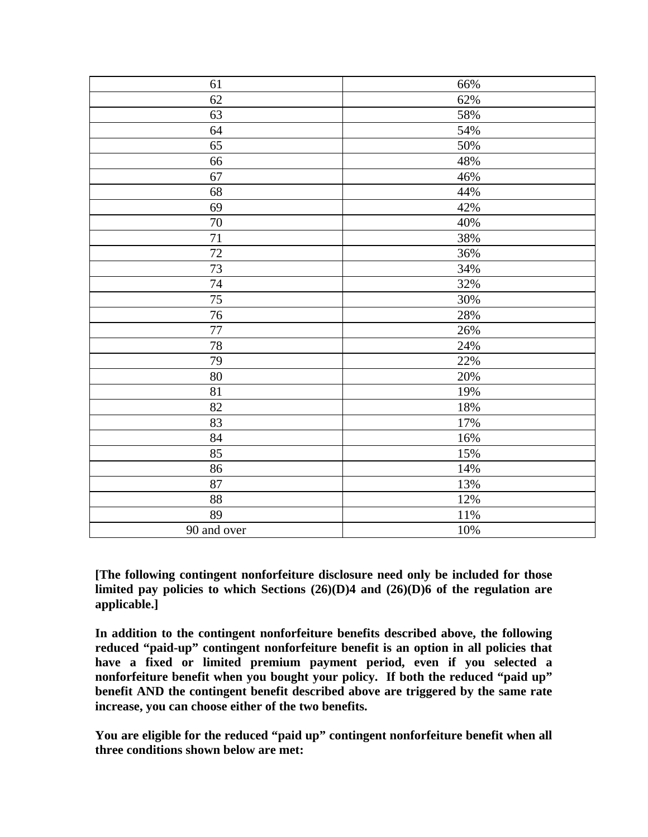| 61          | 66%    |
|-------------|--------|
| 62          | 62%    |
| 63          | 58%    |
| 64          | 54%    |
| 65          | $50\%$ |
| 66          | 48%    |
| 67          | 46%    |
| 68          | 44%    |
| 69          | 42%    |
| $70\,$      | 40%    |
| $71\,$      | 38%    |
| 72          | 36%    |
| 73          | 34%    |
| $74\,$      | 32%    |
| 75          | 30%    |
| 76          | 28%    |
| $77\,$      | 26%    |
| $78\,$      | 24%    |
| 79          | 22%    |
| $80\,$      | 20%    |
| 81          | 19%    |
| 82          | 18%    |
| 83          | 17%    |
| 84          | 16%    |
| 85          | 15%    |
| 86          | 14%    |
| 87          | 13%    |
| 88          | $12\%$ |
| 89          | $11\%$ |
| 90 and over | $10\%$ |

**[The following contingent nonforfeiture disclosure need only be included for those limited pay policies to which Sections (26)(D)4 and (26)(D)6 of the regulation are applicable.]** 

**In addition to the contingent nonforfeiture benefits described above, the following reduced "paid-up" contingent nonforfeiture benefit is an option in all policies that have a fixed or limited premium payment period, even if you selected a nonforfeiture benefit when you bought your policy. If both the reduced "paid up" benefit AND the contingent benefit described above are triggered by the same rate increase, you can choose either of the two benefits.** 

**You are eligible for the reduced "paid up" contingent nonforfeiture benefit when all three conditions shown below are met:**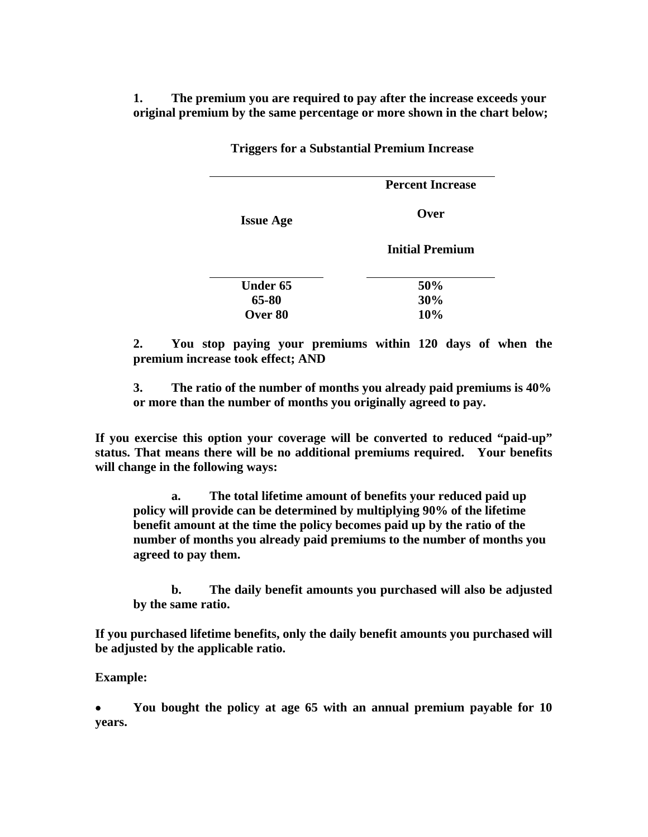**1. The premium you are required to pay after the increase exceeds your original premium by the same percentage or more shown in the chart below;** 

> **Issue Age Percent Increase Over Initial Premium**  Under 65 50% **65-80 30% Over 80 10%**

**Triggers for a Substantial Premium Increase** 

**2. You stop paying your premiums within 120 days of when the premium increase took effect; AND** 

**3. The ratio of the number of months you already paid premiums is 40% or more than the number of months you originally agreed to pay.** 

**If you exercise this option your coverage will be converted to reduced "paid-up" status. That means there will be no additional premiums required. Your benefits will change in the following ways:** 

**a. The total lifetime amount of benefits your reduced paid up policy will provide can be determined by multiplying 90% of the lifetime benefit amount at the time the policy becomes paid up by the ratio of the number of months you already paid premiums to the number of months you agreed to pay them.** 

**b. The daily benefit amounts you purchased will also be adjusted by the same ratio.** 

**If you purchased lifetime benefits, only the daily benefit amounts you purchased will be adjusted by the applicable ratio.** 

**Example:** 

• **You bought the policy at age 65 with an annual premium payable for 10 years.**